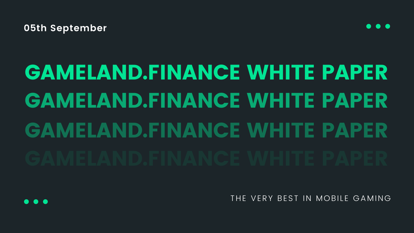**05th September**

# GAMELAND.FINANCE WHITE PAPER GAMELAND.FINANCE WHITE PAPER GAMELAND.FINANCE WHITE PAPER

THE VERY BEST IN MOBILE GAMING



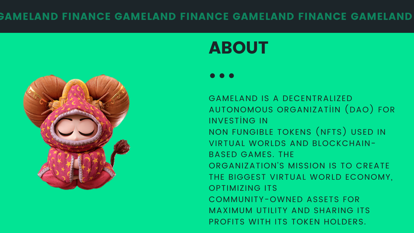### GAMELAND FINANCE GAMELAND FINANCE GAMELAND FINANCE GAMELAND



# ABOUT

INVESTİNG IN NON FUNGIBLE TOKENS (NFTS) USED IN BASED GAMES. THE OPTIMIZING ITS COMMUNITY-OWNED ASSETS FOR

- MAXIMUM UTILITY AND SHARING ITS PROFITS WITH ITS TOKEN HOLDERS.
- ORGANIZATION'S MISSION IS TO CREATE THE BIGGEST VIRTUAL WORLD ECONOMY,
- VIRTUAL WORLDS AND BLOCKCHAIN-
- 
- GAMELAND IS A DECENTRALIZED AUTONOMOUS ORGANIZATİIN (DAO) FOR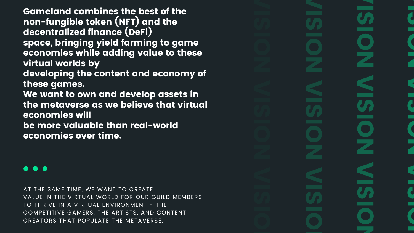Gameland combines the best of the non-fungible token (NFT) and the decentralized finance (DeFi) space, bringing yield farming to game economies while adding value to these virtual worlds by developing the content and economy of these games. We want to own and develop assets in the metaverse as we believe that virtual economies will be more valuable than real-world economies over time.

AT THE SAME TIME, WE WANT TO CREATE VALUE IN THE VIRTUAL WORLD FOR OUR GUILD MEMBERS TO THRIVE IN A VIRTUAL ENVIRONMENT - THE COMPETITIVE GAMERS, THE ARTISTS, AND CONTENT CREATORS THAT POPULATE THE METAVERSE.

V I S I O N V I C I O N V I S I O N

## I S I O Z V I  $\mathbf{S}$ I O Z V I  $\mathcal{L}$ I O N

N V N V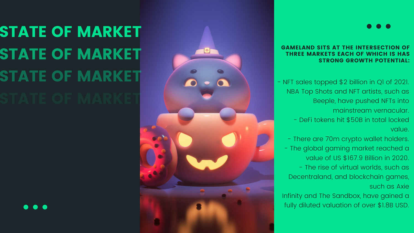#### GAMELAND SITS AT THE INTERSECTION OF THREE MARKETS EACH OF WHICH IS HAS STRONG GROWTH POTENTIAL:

- NFT sales topped \$2 billion in Q1 of 2021. NBA Top Shots and NFT artists, such as Beeple, have pushed NFTs into mainstream vernacular. - DeFi tokens hit \$50B in total locked value.

- There are 70m crypto wallet holders. - The global gaming market reached a value of US \$167.9 Billion in 2020. - The rise of virtual worlds, such as Decentraland, and blockchain games, such as Axie

Infinity and The Sandbox, have gained a fully diluted valuation of over \$1.8B USD.

# STATE OF MARKET STATE OF MARKET STATE OF MARKET STATE OF MARKET



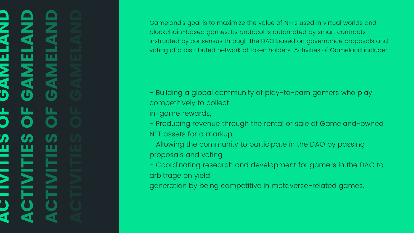# ACTIVITIES OF GAMELAND ACTIVITIES OF GAMELAND<br>ACTIVITIES OF GAMELAND<br>ACTIVITIES OF GAMELAND

Gameland's goal is to maximize the value of NFTs used in virtual worlds and blockchain-based games. Its protocol is automated by smart contracts instructed by consensus through the DAO based on governance proposals and voting of a distributed network of token holders. Activities of Gameland include:

- Building a global community of play-to-earn gamers who play

- Producing revenue through the rental or sale of Gameland-owned

- competitively to collect in-game rewards,
- NFT assets for a markup,
- Allowing the community to participate in the DAO by passing proposals and voting,
- arbitrage on yield
- generation by being competitive in metaverse-related games.

- Coordinating research and development for gamers in the DAO to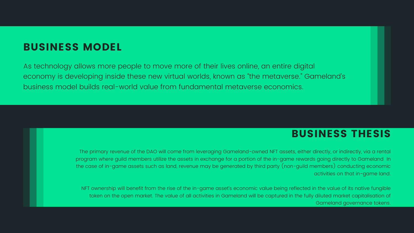#### BUSINESS MODEL

As technology allows more people to move more of their lives online, an entire digital economy is developing inside these new virtual worlds, known as "the metaverse." Gameland' s business model builds real-world value from fundamental metaverse economics.

#### BUSINESS THESIS

The primary revenue of the DAO will come from leveraging Gameland-owned NFT assets, either directly, or indirectly, via a rental program where guild members utilize the assets in exchange for a portion of the in-game rewards going directly to Gameland In the case of in-game assets such as land, revenue may be generated by third party (non-guild members) conducting economic activities on that in-game land.

NFT ownership will benefit from the rise of the in-game asset's economic value being reflected in the value of its native fungible token on the open market. The value of all activities in Gameland will be captured in the fully diluted market capitalisation of Gameland governance tokens.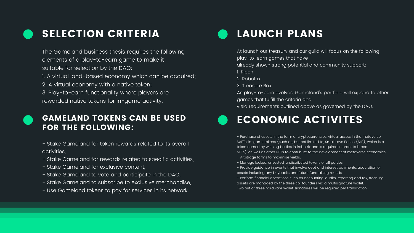## SELECTION CRITERIA

The Gameland business thesis requires the following elements of a play-to-earn game to make it suitable for selection by the DAO: 1. A virtual land-based economy which can be acquired; 2. A virtual economy with a native token; 3. Play-to-earn functionality where players are rewarded native tokens for in-game activity.

## LAUNCH PLANS

At launch our treasury and our guild will focus on the following play-to-earn games that have

already shown strong potential and community support:

- 
- 
- 
- 1. Kipon
- 2. Robotrix
- 3. Treasure Box
- 
- 
- 



- 
- 
- 
- 
- 
- 

As play-to-earn evolves, Gameland's portfolio will expand to other games that fulfill the criteria and

yield requirements outlined above as governed by the DAO.

#### GAMELAND TOKENS CAN BE USED FOR THE FOLLOWING:

- Stake Gameland for token rewards related to its overall activities,

- Stake Gameland for rewards related to specific activities,
- Stake Gameland for exclusive content,
- Stake Gameland to vote and participate in the DAO,
- Stake Gameland to subscribe to exclusive merchandise,
- Use Gameland tokens to pay for services in its network.



#### ECONOMIC ACTIVITES

- Purchase of assets in the form of cryptocurrencies, virtual assets in the metaverse, SAFTs, in-game tokens (such as, but not limited to, Small Love Potion (SLP), which is a token earned by winning battles in Robotrix and is required in order to breed NFTs), as well as other NFTs to contribute to the development of metaverse economies, - Arbitrage farms to maximise yields,

- Manage locked, unvested, undistributed tokens of all parties,

- Provide guidance in events that involve debt and interest payments, acquisition of assets including any buybacks and future fundraising rounds,

- Perform financial operations such as accounting, audits, reporting and tax, treasury assets are managed by the three co-founders via a multisignature wallet.

Two out of three hardware wallet signatures will be required per transaction.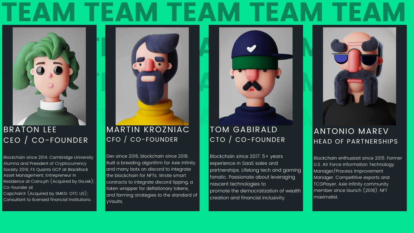# EAM TEAM TEAM



## CEO / CO-FOUNDER

#### MARTIN KROZNIAC CFO / CO-FOUNDER

Blockchain since 2014. Cambridge University Alumna and President of Cryptocurrency Society 2016; FX Quants GCP at BlackRock Asset Management; Entrepreneur In Residence at Coins.ph (Acquired by GoJek); Co-founder at CapchainX (Acquired by SMKG: OTC US);

Dev since 2016, blockchain since 2018. Built a breeding algorithm for Axie Infinity and many bots on discord to integrate the blockchain for NFTs. Wrote smart contracts to integrate discord tipping, a token wrapper for deflationary tokens, and farming strategies to the standard of yVaults.

#### TOM GABIRALD CTO / CO-FOUNDER



Consultant to licensed financial institutions.

## BRATON LEE MARTIN KROZNIAC TOM GABIRALD ANTONIO MAREV ANTONIO MAREV HEAD OF PARTNERSHIPS

Blockchain since 2017. 5+ years experience in SaaS sales and partnerships. Lifelong tech and gaming fanatic. Passionate about leveraging nascent technologies to promote the democratization of wealth creation and financial inclusivity.

Blockchain enthusiast since 2015. Former U.S. Air Force Information Technology Manager/Process Improvement Manager. Competitive esports and TCGPlayer. Axie Infinity community member since launch (2018). NFT maximalist.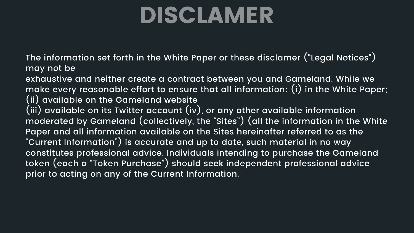# DISCLAMER

The information set forth in the White Paper or these disclamer ("Legal Notices ") may not be

exhaustive and neither create a contract between you and Gameland. While we make every reasonable effort to ensure that all information: (i) in the White Paper; (ii) available on the Gameland website

(iii) available on its Twitter account (iv), or any other available information moderated by Gameland (collectively, the "Sites"*)* (all the information in the White Paper and all information available on the Sites hereinafter referred to as the "Current Information") is accurate and up to date, such material in no way constitutes professional advice. Individuals intending to purchase the Gameland token (each a "Token Purchase"*)* should seek independent professional advice prior to acting on any of the Current Information.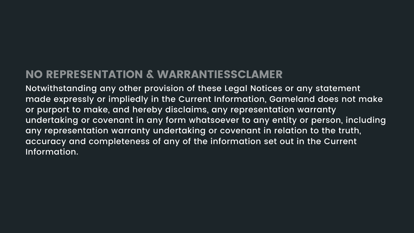## NO REPRESENTATION & WARRANTIESSCLAMER

Notwithstanding any other provision of these Legal Notices or any statement made expressly or impliedly in the Current Information, Gameland does not make or purport to make, and hereby disclaims, any representation warranty undertaking or covenant in any form whatsoever to any entity or person, including any representation warranty undertaking or covenant in relation to the truth, accuracy and completeness of any of the information set out in the Current Information.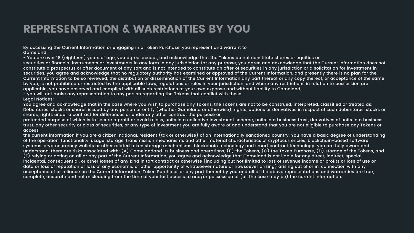## REPRESENTATION & WARRANTIES BY YOU

By accessing the Current Information or engaging in a Token Purchase, you represent and warrant to Gameland:

- You are over 18 (eighteen) years of age, you agree, accept, and acknowledge that the Tokens do not constitute shares or equities or securities or financial instruments or investments in any form in any jurisdiction for any purpose, you agree and acknowledge that the Current Information does not constitute a prospectus or offer document of any sort and is not intended to constitute an offer of securities in any jurisdiction or a solicitation for investment in securities, you agree and acknowledge that no regulatory authority has examined or approved of the Current Information, and presently there is no plan for the Current Information to be so reviewed, the distribution or dissemination of the Current Information any part thereof or any copy thereof, or acceptance of the same by you, is not prohibited or restricted by the applicable laws, regulations or rules in your jurisdiction, and where any restrictions in relation to possession are applicable, you have observed and complied with all such restrictions at your own expense and without liability to Gameland, - you will not make any representation to any person regarding the Tokens that conflict with these Legal Notices:

You agree and acknowledge that in the case where you wish to purchase any Tokens, the Tokens are not to be construed, interpreted, classified or treated as: Debentures, stocks or shares issued by any person or entity (whether Gameland or otherwise), rights, options or derivatives in respect of such debentures, stocks or shares, rights under a contract for differences or under any other contract the purpose or

pretended purpose of which is to secure a profit or avoid a loss, units in a collective investment scheme, units in a business trust, derivatives of units in a business trust, any other security or class of securities, or any type of investment you are fully aware of and understand that you are not eligible to purchase any Tokens or access

the current information if you are a citizen, national, resident (tax or otherwise) of an internationally sanctioned country. You have a basic degree of understanding of the operation, functionality, usage, storage, transmission mechanisms and other material characteristics of cryptocurrencies, blockchain-based software systems, cryptocurrency wallets or other related token storage mechanisms, blockchain technology and smart contract technology; you are fully aware and understand, there are risks associated with: (A) Gamelandand its business and operations, (B) the Tokens, (C) the Token Purchase, (D) storage of the Tokens, and (E) relying or acting on all or any part of the Current Information, you agree and acknowledge that Gameland is not liable for any direct, indirect, special, incidental, consequential, or other losses of any kind in tort contract or otherwise (including but not limited to loss of revenue income or profits or loss of use or data or loss of reputation or loss of any economic or other opportunity of whatsoever nature or howsoever arising) arising out of or in, connection with any acceptance of or reliance on the Current Information, Token Purchase, or any part thereof by you and all of the above representations and warranties are true, complete, accurate and not misleading from the time of your last access to and/or possession of (as the case may be) the current information.